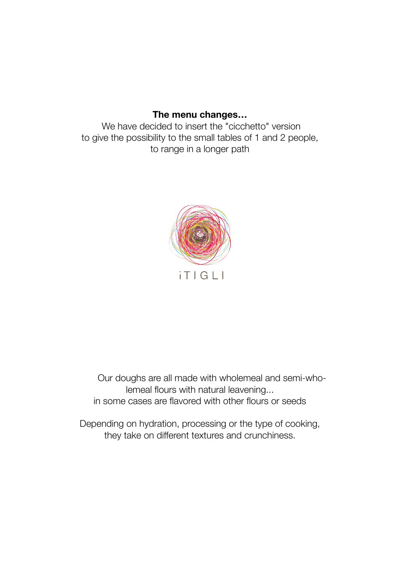## **The menu changes…**

We have decided to insert the "cicchetto" version to give the possibility to the small tables of 1 and 2 people, to range in a longer path



Our doughs are all made with wholemeal and semi-wholemeal flours with natural leavening... in some cases are flavored with other flours or seeds

Depending on hydration, processing or the type of cooking, they take on different textures and crunchiness.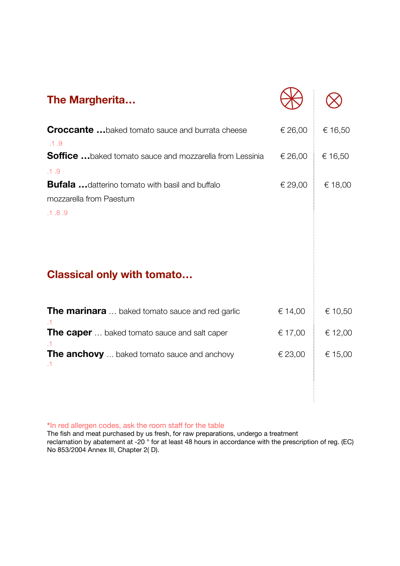| The Margherita                                                                   |         |         |
|----------------------------------------------------------------------------------|---------|---------|
| <b>Croccante </b> baked tomato sauce and burrata cheese<br>.1.9                  | € 26,00 | € 16,50 |
| <b>Soffice</b> baked tomato sauce and mozzarella from Lessinia<br>.1.9           | € 26,00 | € 16,50 |
| <b>Bufala</b> datterino tomato with basil and buffalo<br>mozzarella from Paestum | € 29,00 | € 18,00 |
| .1.8.9                                                                           |         |         |
|                                                                                  |         |         |
| <b>Classical only with tomato</b>                                                |         |         |
| The marinara  baked tomato sauce and red garlic                                  | € 14,00 | € 10,50 |
| The caper  baked tomato sauce and salt caper                                     | € 17,00 | € 12,00 |
| $\cdot$ 1<br><b>The anchovy</b> baked tomato sauce and anchovy<br>.1             | € 23,00 | € 15,00 |
|                                                                                  |         |         |
|                                                                                  |         |         |

**\***In red allergen codes, ask the room staff for the table

The fish and meat purchased by us fresh, for raw preparations, undergo a treatment reclamation by abatement at -20 ° for at least 48 hours in accordance with the prescription of reg. (EC) No 853/2004 Annex III, Chapter 2( D).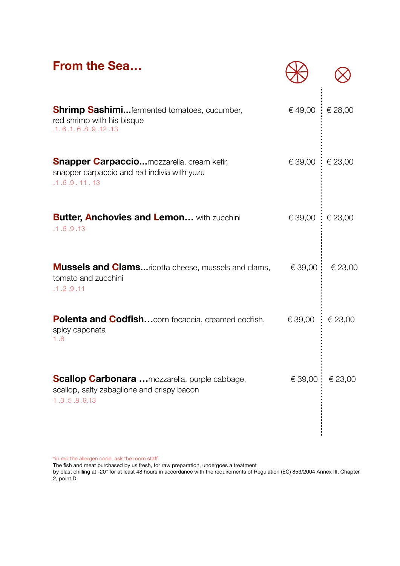| <b>From the Sea</b>                                                                                                 |                     |                  |
|---------------------------------------------------------------------------------------------------------------------|---------------------|------------------|
| <b>Shrimp Sashimi</b> fermented tomatoes, cucumber,<br>red shrimp with his bisque<br>.1.6.1.6.8.9.12.13             | € 49,00             | $\epsilon$ 28,00 |
| <b>Snapper Carpaccio</b> mozzarella, cream kefir,<br>snapper carpaccio and red indivia with yuzu<br>.1.6.9.11.13    | € 39,00 $\in$ 23,00 |                  |
| <b>Butter, Anchovies and Lemon</b> with zucchini<br>.1.6.9.13                                                       | € 39,00 $\in$ 23,00 |                  |
| <b>Mussels and Clams</b> ricotta cheese, mussels and clams,<br>tomato and zucchini<br>.1.2.9.11                     | € 39,00             | € 23,00          |
| <b>Polenta and Codfish</b> corn focaccia, creamed codfish,<br>spicy caponata<br>1 .6                                | € 39,00 $\pm$       | € 23,00          |
| <b>Scallop Carbonara </b> mozzarella, purple cabbage,<br>scallop, salty zabaglione and crispy bacon<br>1.3.5.8.9.13 | € 39,00             | € 23,00          |

\*in red the allergen code, ask the room sta

The fish and meat purchased by us fresh, for raw preparation, undergoes a treatment

by blast chilling at -20° for at least 48 hours in accordance with the requirements of Regulation (EC) 853/2004 Annex III, Chapter 2, point D.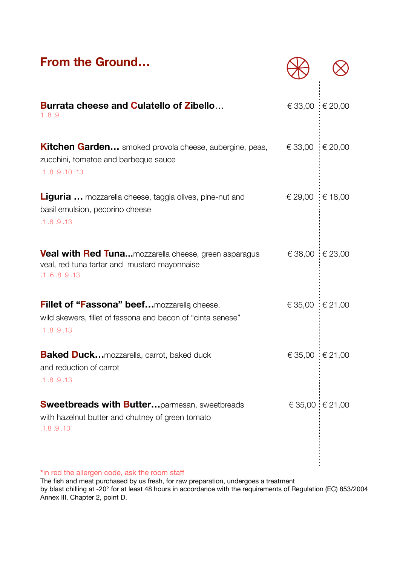| From the Ground                                                                                                                |                      |             |
|--------------------------------------------------------------------------------------------------------------------------------|----------------------|-------------|
| <b>Burrata cheese and Culatello of Zibello</b><br>1.8.9                                                                        | € 33,00 $\neq$ 20,00 |             |
| <b>Kitchen Garden</b> smoked provola cheese, aubergine, peas,<br>zucchini, tomatoe and barbeque sauce<br>.1.8.9.10.13          | € 33,00              | $\in$ 20,00 |
| <b>Liguria</b> mozzarella cheese, taggia olives, pine-nut and<br>basil emulsion, pecorino cheese<br>.1.8.9.13                  | € 29,00 $\in$ 18,00  |             |
| <b>Veal with Red Tuna</b> mozzarella cheese, green asparagus<br>veal, red tuna tartar and mustard mayonnaise<br>.1.6.8.9.13    | € 38,00 $\in$ 23,00  |             |
| <b>Fillet of "Fassona" beef</b> mozzarellą cheese,<br>wild skewers, fillet of fassona and bacon of "cinta senese"<br>.1.8.9.13 | € 35,00 $\in$ 21,00  |             |
| <b>Baked Duck</b> mozzarella, carrot, baked duck<br>and reduction of carrot<br>.1.8.9.13                                       | € 35,00 $\in$ 21,00  |             |
| <b>Sweetbreads with Butter</b> parmesan, sweetbreads<br>with hazelnut butter and chutney of green tomato<br>.1.8.9.13          | € 35,00   € 21,00    |             |

\*in red the allergen code, ask the room sta

The fish and meat purchased by us fresh, for raw preparation, undergoes a treatment by blast chilling at -20° for at least 48 hours in accordance with the requirements of Regulation (EC) 853/2004 Annex III, Chapter 2, point D.